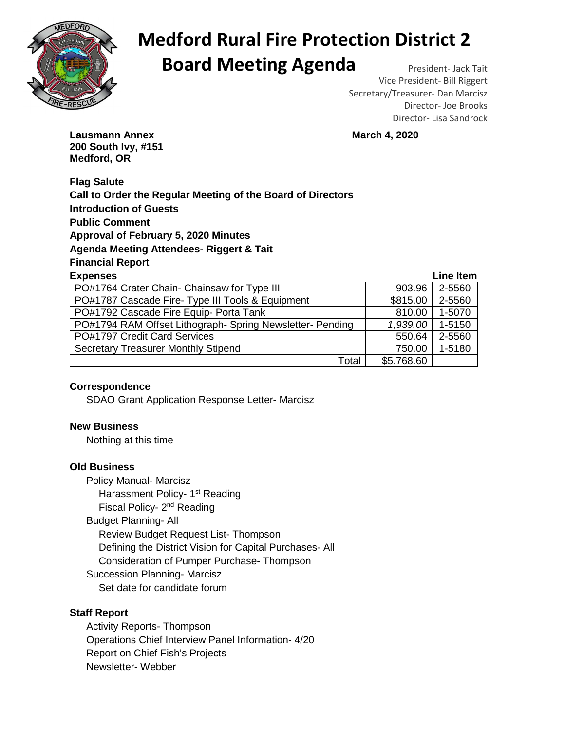

# **Medford Rural Fire Protection District 2 Board Meeting Agenda** President- Jack Tait

Vice President- Bill Riggert Secretary/Treasurer- Dan Marcisz Director- Joe Brooks Director- Lisa Sandrock

**Lausmann Annex March 4, 2020 200 South Ivy, #151 Medford, OR** 

**Flag Salute Call to Order the Regular Meeting of the Board of Directors Introduction of Guests Public Comment Approval of February 5, 2020 Minutes Agenda Meeting Attendees- Riggert & Tait Financial Report** 

| <b>Expenses</b>                                           |            | Line Item |
|-----------------------------------------------------------|------------|-----------|
| PO#1764 Crater Chain- Chainsaw for Type III               | 903.96     | 2-5560    |
| PO#1787 Cascade Fire- Type III Tools & Equipment          | \$815.00   | 2-5560    |
| PO#1792 Cascade Fire Equip- Porta Tank                    | 810.00     | 1-5070    |
| PO#1794 RAM Offset Lithograph- Spring Newsletter- Pending | 1,939.00   | 1-5150    |
| PO#1797 Credit Card Services                              | 550.64     | 2-5560    |
| <b>Secretary Treasurer Monthly Stipend</b>                | 750.00     | 1-5180    |
| Total                                                     | \$5,768.60 |           |

### **Correspondence**

SDAO Grant Application Response Letter- Marcisz

#### **New Business**

Nothing at this time

#### **Old Business**

Policy Manual- Marcisz **Harassment Policy- 1<sup>st</sup> Reading** Fiscal Policy- 2<sup>nd</sup> Reading Budget Planning- All Review Budget Request List- Thompson Defining the District Vision for Capital Purchases- All Consideration of Pumper Purchase- Thompson Succession Planning- Marcisz Set date for candidate forum

### **Staff Report**

Activity Reports- Thompson Operations Chief Interview Panel Information- 4/20 Report on Chief Fish's Projects Newsletter- Webber